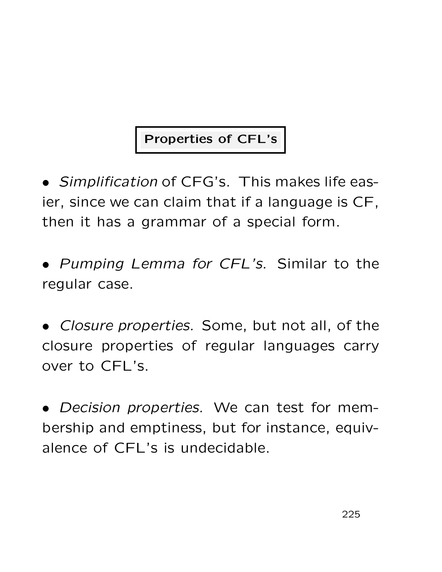## Properties of CFL's

• Simplification of CFG's. This makes life easier, since we can claim that if a language is CF, then it has a grammar of a special form.

• Pumping Lemma for CFL's. Similar to the regular case.

• Closure properties. Some, but not all, of the closure properties of regular languages carry over to CFL's.

• Decision properties. We can test for membership and emptiness, but for instance, equivalence of CFL's is undecidable.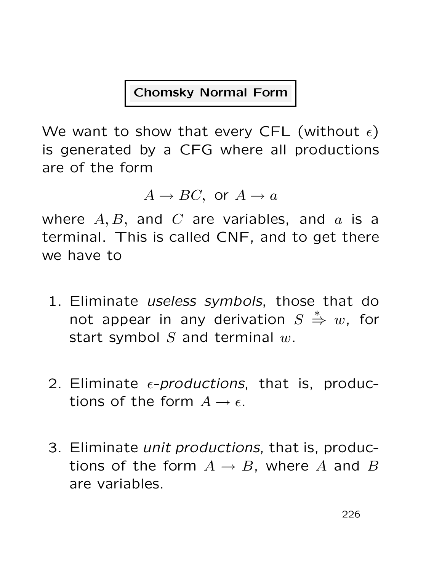#### Chomsky Normal Form

We want to show that every CFL (without  $\epsilon$ ) is generated by a CFG where all productions are of the form

 $A \rightarrow BC$ , or  $A \rightarrow a$ 

where  $A, B$ , and  $C$  are variables, and  $a$  is a terminal. This is called CNF, and to get there we have to

- 1. Eliminate useless symbols, those that do not appear in any derivation  $S$  $\stackrel{*}{\Rightarrow} w$ , for start symbol  $S$  and terminal  $w$ .
- 2. Eliminate  $\epsilon$ -productions, that is, productions of the form  $A \rightarrow \epsilon$ .
- 3. Eliminate unit productions, that is, productions of the form  $A \rightarrow B$ , where A and B are variables.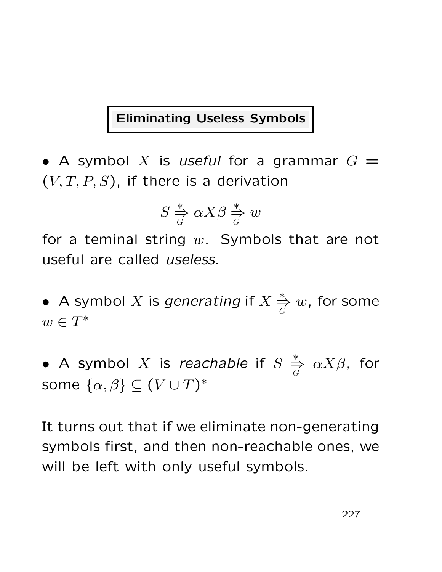#### Eliminating Useless Symbols

• A symbol X is useful for a grammar  $G =$  $(V, T, P, S)$ , if there is a derivation

$$
S \stackrel{*}{\Rightarrow} \alpha X \beta \stackrel{*}{\Rightarrow} w
$$

for a teminal string  $w$ . Symbols that are not useful are called useless.

• A symbol X is generating if  $X \stackrel{*}{\Rightarrow}$ G  $w$ , for some  $w \in T^*$ 

• A symbol X is reachable if  $S \stackrel{*}{\Rightarrow}$ G  $\alpha X\beta$ , for some  $\{\alpha,\beta\}\subseteq (V\cup T)^*$ 

It turns out that if we eliminate non-generating symbols first, and then non-reachable ones, we will be left with only useful symbols.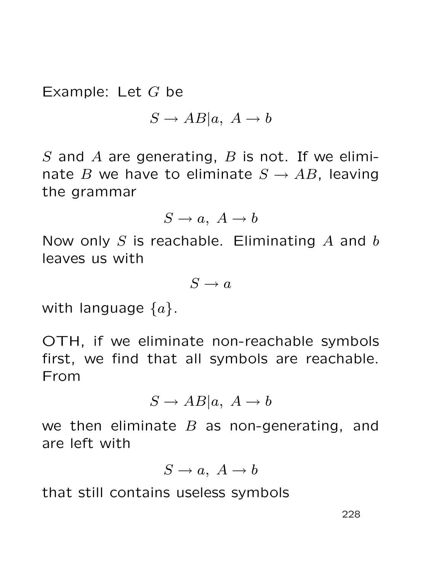Example: Let  $G$  be

$$
S \to AB|a, A \to b
$$

S and A are generating,  $B$  is not. If we eliminate B we have to eliminate  $S \to AB$ , leaving the grammar

 $S \to a, A \to b$ 

Now only  $S$  is reachable. Eliminating  $A$  and  $b$ leaves us with

 $S \to a$ 

with language  $\{a\}$ .

OTH, if we eliminate non-reachable symbols first, we find that all symbols are reachable. From

$$
S \to AB|a, A \to b
$$

we then eliminate  $B$  as non-generating, and are left with

$$
S \to a, \ A \to b
$$

that still contains useless symbols

228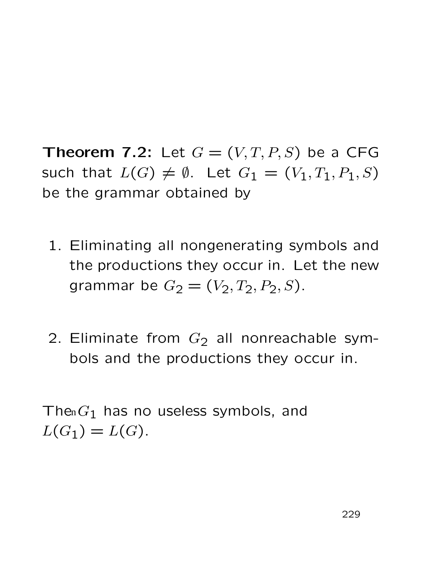**Theorem 7.2:** Let  $G = (V, T, P, S)$  be a CFG such that  $L(G) \neq \emptyset$ . Let  $G_1 = (V_1, T_1, P_1, S)$ be the grammar obtained by

- 1. Eliminating all nongenerating symbols and the productions they occur in. Let the new grammar be  $G_2 = (V_2, T_2, P_2, S)$ .
- 2. Eliminate from  $G_2$  all nonreachable symbols and the productions they occur in.

The  $G_1$  has no useless symbols, and  $L(G_1) = L(G)$ .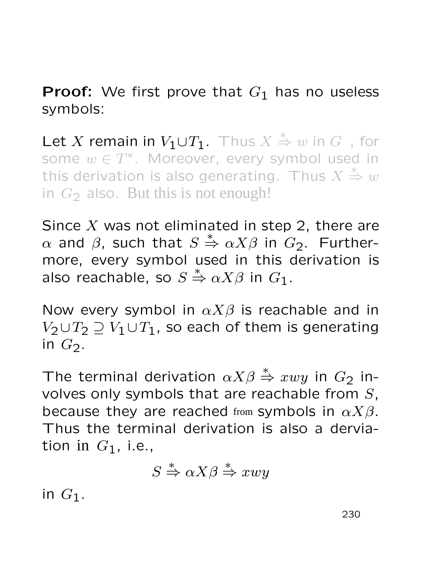## **Proof:** We first prove that  $G_1$  has no useless symbols:

Let X remain in  $V_1 \cup T_1$ . Thus  $X \stackrel{*}{\Rightarrow} w$  in  $G$ , for some  $w \in T^*$ . Moreover, every symbol used in this derivation is also generating. Thus  $X$ ∗ ⇒ w in  $G_2$  also. But this is not enough!

Since X was not eliminated in step 2, there are  $\alpha$  and  $\beta$ , such that  $S$  $\stackrel{*}{\Rightarrow} \alpha X \beta$  in  $G_2$ . Furthermore, every symbol used in this derivation is also reachable, so  $S$  $\stackrel{*}{\Rightarrow} \alpha X \beta$  in  $G_1$ .

Now every symbol in  $\alpha X\beta$  is reachable and in  $V_2 \cup T_2 \supset V_1 \cup T_1$ , so each of them is generating in  $G_2$ .

The terminal derivation  $\alpha X\beta \overset{*}{\Rightarrow} xwy$  in  $G_2$  involves only symbols that are reachable from  $S$ , because they are reached from symbols in  $\alpha X\beta$ . Thus the terminal derivation is also a derviation in  $G_1$ , i.e., 2 also. But this is not enough!<br>
a X was not eliminated in st<br>
d β, such that  $S \stackrel{*}{\Rightarrow} \alpha X \beta$  in<br>
i, every symbol used in th<br>
reachable, so  $S \stackrel{*}{\Rightarrow} \alpha X \beta$  in α<br>
every symbol in  $\alpha X \beta$  is re<br>  $T_2 \supseteq V_1 \cup T_1$ , so ea

$$
S \xrightarrow{*} \alpha X \beta \xrightarrow{*} x w y
$$

in  $G_1$ .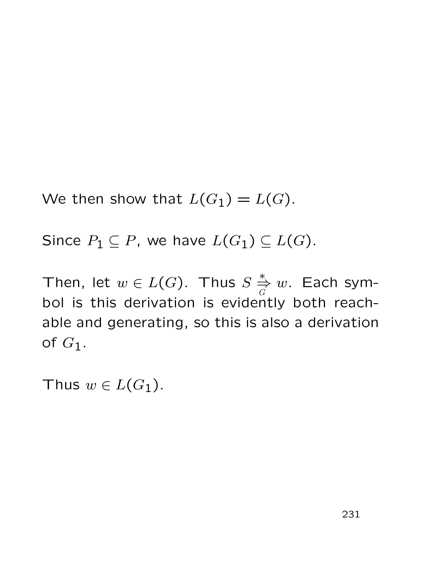We then show that  $L(G_1) = L(G)$ .

Since  $P_1 \subseteq P$ , we have  $L(G_1) \subseteq L(G)$ .

Then, let  $w \in L(G)$ . Thus  $S \stackrel{*}{\Rightarrow}$  $\mathcal G$  $w$ . Each symbol is this derivation is evidently both reachable and generating, so this is also a derivation of  $G_1$ .

Thus  $w \in L(G_1)$ .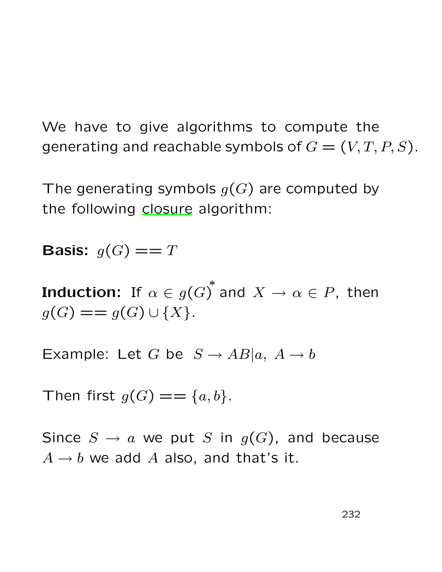We have to give algorithms to compute the generating and reachable symbols of  $G = (V, T, P, S)$ .

The generating symbols  $g(G)$  are computed by the following closure algorithm:

**Basis:**  $q(G) == T$ 

Induction: If  $\alpha \in {g(G)}^*$  and  $X \rightarrow \alpha \in P,$  then  $g(G) == g(G) \cup \{X\}.$ 

Example: Let G be  $S \to AB|a, A \to b$ 

Then first  $g(G) == \{a, b\}$ .

Since  $S \to a$  we put S in  $g(G)$ , and because  $A \rightarrow b$  we add A also, and that's it.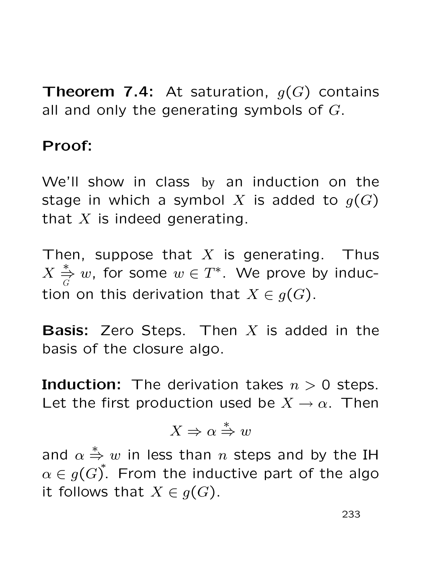**Theorem 7.4:** At saturation,  $g(G)$  contains all and only the generating symbols of  $G$ .

#### Proof:

We'll show in class by an induction on the stage in which a symbol X is added to  $g(G)$ that  $X$  is indeed generating.

Then, suppose that  $X$  is generating. Thus  $\overline{X}$ ∗ ⇒ G w, for some  $w \in T^*$ . We prove by induction on this derivation that  $X \in g(G)$ .

**Basis:** Zero Steps. Then  $X$  is added in the basis of the closure algo.

**Induction:** The derivation takes  $n > 0$  steps. Let the first production used be  $X \to \alpha$ . Then

$$
X \Rightarrow \alpha \stackrel{*}{\Rightarrow} w
$$

and  $\alpha$  $\stackrel{*}{\Rightarrow} w$  in less than  $n$  steps and by the IH  $\alpha \in g(G)^*$ . From the inductive part of the algo it follows that  $X \in g(G)$ .

233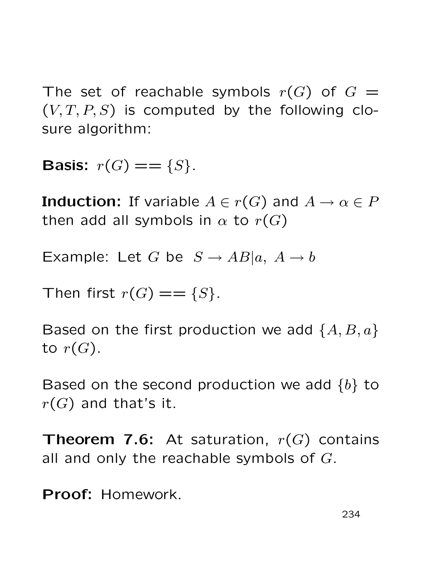The set of reachable symbols  $r(G)$  of  $G =$  $(V, T, P, S)$  is computed by the following closure algorithm:

**Basis:**  $r(G) == \{S\}$ .

**Induction:** If variable  $A \in r(G)$  and  $A \to \alpha \in P$ then add all symbols in  $\alpha$  to  $r(G)$ 

Example: Let G be  $S \to AB|a, A \to b$ 

Then first  $r(G) == \{S\}$ .

Based on the first production we add  $\{A, B, a\}$ to  $r(G)$ .

Based on the second production we add  $\{b\}$  to  $r(G)$  and that's it.

**Theorem 7.6:** At saturation,  $r(G)$  contains all and only the reachable symbols of  $G$ .

Proof: Homework.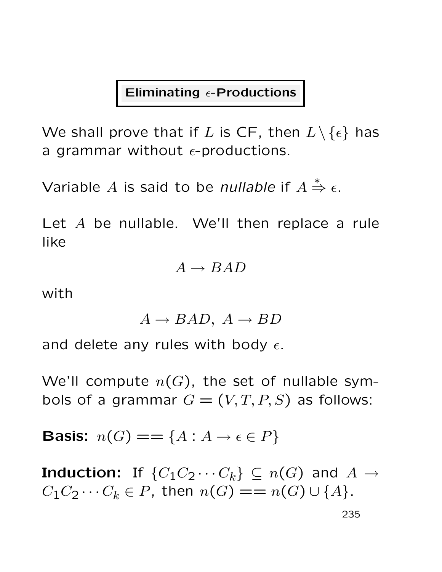#### Eliminating  $\epsilon$ -Productions

We shall prove that if L is CF, then  $L \setminus \{\epsilon\}$  has a grammar without  $\epsilon$ -productions.

Variable  $A$  is said to be *nullable* if  $A$  $\xrightarrow{\ast}$  ∈.

Let A be nullable. We'll then replace a rule like

$$
A \to BAD
$$

with

$$
A \to BAD, \ A \to BD
$$

and delete any rules with body  $\epsilon$ .

We'll compute  $n(G)$ , the set of nullable symbols of a grammar  $G = (V, T, P, S)$  as follows:

**Basis:**  $n(G) == \{A : A \rightarrow \epsilon \in P\}$ 

**Induction:** If  $\{C_1C_2 \cdots C_k\} \subseteq n(G)$  and  $A \rightarrow$  $C_1C_2 \cdots C_k \in P$ , then  $n(G) == n(G) \cup \{A\}.$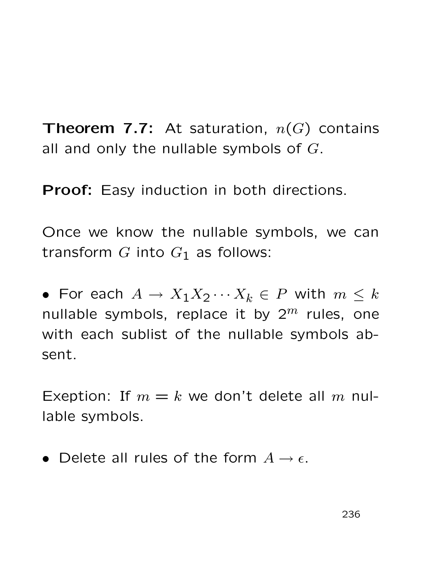**Theorem 7.7:** At saturation,  $n(G)$  contains all and only the nullable symbols of  $G$ .

**Proof:** Easy induction in both directions.

Once we know the nullable symbols, we can transform  $G$  into  $G_1$  as follows:

• For each  $A \to X_1 X_2 \cdots X_k \in P$  with  $m \leq k$ nullable symbols, replace it by  $2^m$  rules, one with each sublist of the nullable symbols absent.

Exeption: If  $m = k$  we don't delete all m nullable symbols.

• Delete all rules of the form  $A \rightarrow \epsilon$ .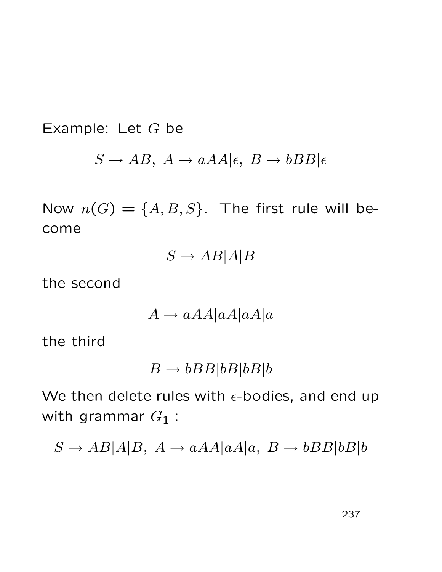Example: Let  $G$  be

$$
S \to AB, A \to aAA|\epsilon, B \to bBB|\epsilon
$$

Now  $n(G) = \{A, B, S\}$ . The first rule will become

$$
S \to AB|A|B
$$

the second

$$
A \to a AA |a A |a A |a
$$

the third

$$
B \to bBB|bB|bB|b
$$

We then delete rules with  $\epsilon$ -bodies, and end up with grammar  $G_1$  :

 $S \to AB|A|B$ ,  $A \to aAA|aA|a$ ,  $B \to bBB|bB|b$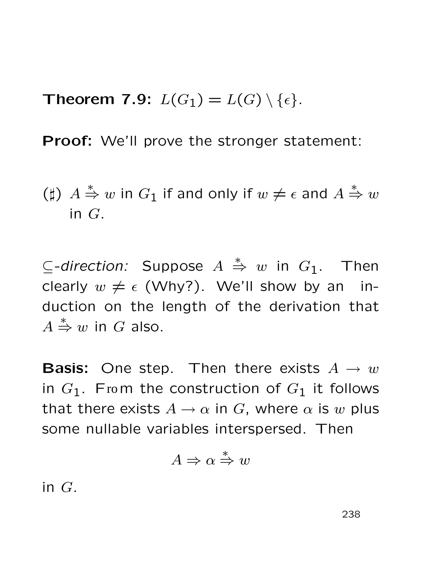Theorem 7.9:  $L(G_1) = L(G) \setminus \{ \epsilon \}.$ 

Proof: We'll prove the stronger statement:

(‡) 
$$
A \stackrel{*}{\Rightarrow} w
$$
 in  $G_1$  if and only if  $w \neq \epsilon$  and  $A \stackrel{*}{\Rightarrow} w$   
in  $G$ .

 $\subseteq$ -direction: Suppose  $A \stackrel{*}{\Rightarrow} w$  in  $G_1$ . Then clearly  $w \neq \epsilon$  (Why?). We'll show by an induction on the length of the derivation that A  $\stackrel{*}{\Rightarrow} w$  in G also.

**Basis:** One step. Then there exists  $A \rightarrow w$ in  $G_1$ . From the construction of  $G_1$  it follows that there exists  $A \rightarrow \alpha$  in G, where  $\alpha$  is w plus some nullable variables interspersed. Then

$$
A \Rightarrow \alpha \stackrel{*}{\Rightarrow} w
$$

in G.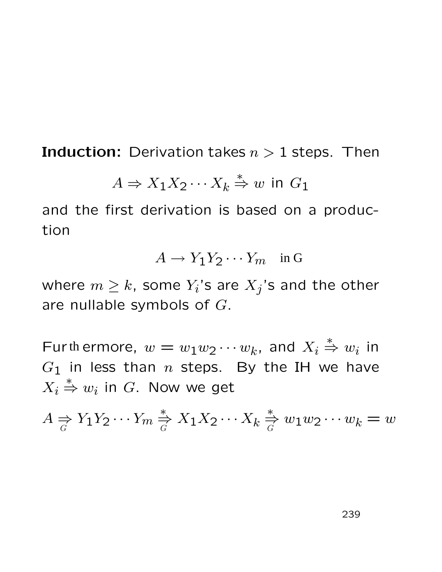**Induction:** Derivation takes  $n > 1$  steps. Then

$$
A \Rightarrow X_1 X_2 \cdots X_k \stackrel{*}{\Rightarrow} w \text{ in } G_1
$$

and the first derivation is based on a production

$$
A \to Y_1 Y_2 \cdots Y_m \quad \text{in } G
$$

where  $m \geq k$ , some  $Y_i$ 's are  $X_j$ 's and the other are nullable symbols of G.

Furthermore,  $w = w_1w_2\cdots w_k$ , and  $X_i$ th ermore,  $w = w_1w_2\cdots w_k$ , and  $X_i \overset{*}{\Rightarrow} w_i$  in  $G_1$  in less than n steps. By the IH we have  $X_i$  $\stackrel{*}{\Rightarrow} w_i$  in  $G$ . Now we get

$$
A \underset{G}{\Rightarrow} Y_1 Y_2 \cdots Y_m \underset{G}{\overset{*}{\Rightarrow}} X_1 X_2 \cdots X_k \underset{G}{\overset{*}{\Rightarrow}} w_1 w_2 \cdots w_k = w
$$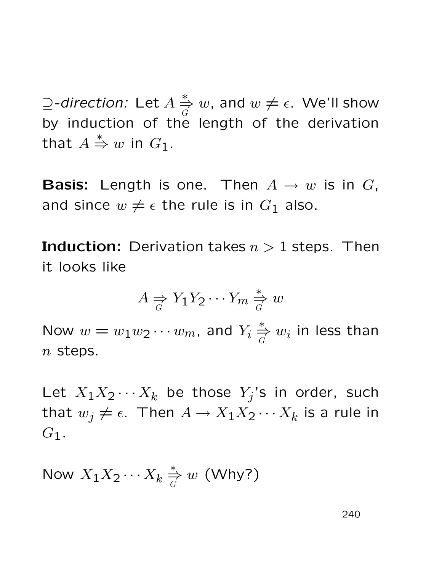$\supseteq$ -direction: Let  $A \stackrel{*}{\Rightarrow}$ G  $w$ , and  $w \neq \epsilon$ . We'll show by induction of the length of the derivation that A  $\stackrel{*}{\Rightarrow} w$  in  $G_1$ .

**Basis:** Length is one. Then  $A \rightarrow w$  is in G, and since  $w \neq \epsilon$  the rule is in  $G_1$  also.

**Induction:** Derivation takes  $n > 1$  steps. Then it looks like

$$
A \underset{G}{\Rightarrow} Y_1 Y_2 \cdots Y_m \underset{G}{\overset{*}{\Rightarrow}} w
$$

Now  $w = w_1 w_2 \cdots w_m$ , and  $Y_i \overset{*}{\Rightarrow}$  $\mathop{\Ruge{\Rightarrow}}\limits^{\ast}_{G}w_i$  in less than  $n$  steps.

Let  $X_1X_2\cdots X_k$  be those  $Y_j$ 's in order, such that  $w_j \neq \epsilon$ . Then  $A \to X_1 X_2 \cdots X_k$  is a rule in  $G_1$ .

Now  $X_1X_2\cdots X_k\stackrel{*}{\Rightarrow}$ G  $w$  (Why?)

240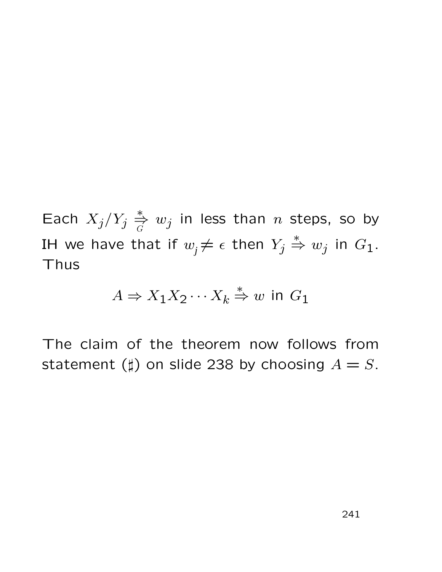Each  $X_j/Y_j$ ∗ ⇒  $\stackrel{*}{\Rightarrow} w_j$  in less than  $n$  steps, so by IH we have that if  $w_j \neq \epsilon$  then  $Y_j \overset{*}{\Rightarrow} w_j$  in  $G_1$ . Thus

$$
A \Rightarrow X_1 X_2 \cdots X_k \stackrel{*}{\Rightarrow} w \text{ in } G_1
$$

The claim of the theorem now follows from statement ( $\sharp$ ) on slide 238 by choosing  $A = S$ .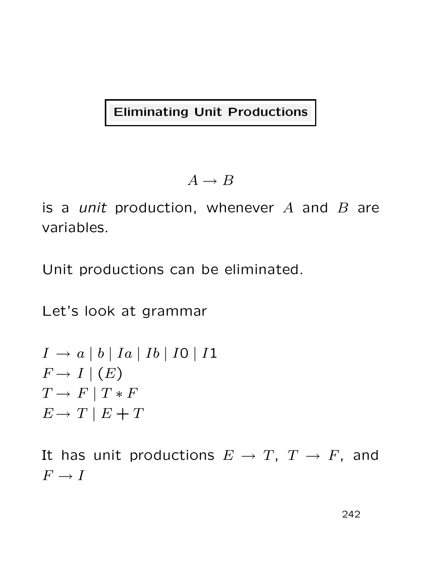Eliminating Unit Productions

$$
A \to B
$$

is a *unit* production, whenever  $A$  and  $B$  are variables.

Unit productions can be eliminated.

Let's look at grammar

$$
I \rightarrow a | b | Ia | Ib | IO | I1
$$
  
\n
$$
F \rightarrow I | (E)
$$
  
\n
$$
T \rightarrow F | T * F
$$
  
\n
$$
E \rightarrow T | E + T
$$

It has unit productions  $E \to T$ ,  $T \to F$ , and  $F \to I$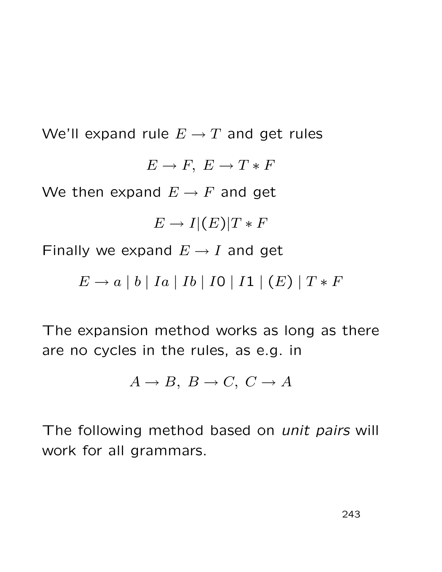We'll expand rule  $E \to T$  and get rules  $E \to F$ ,  $E \to T * F$ We then expand  $E \to F$  and get  $E \to I|(E)|T * F$ Finally we expand  $E \rightarrow I$  and get

 $E \to a \mid b \mid Ia \mid Ib \mid I0 \mid I1 \mid (E) \mid T * F$ 

The expansion method works as long as there are no cycles in the rules, as e.g. in

$$
A \to B, B \to C, C \to A
$$

The following method based on *unit pairs* will work for all grammars.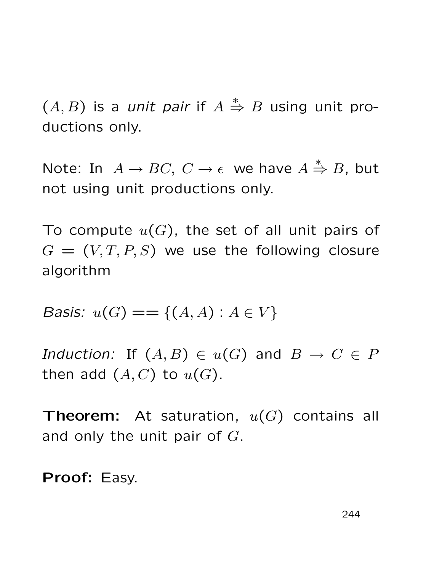$(A, B)$  is a unit pair if  $A$  $\stackrel{*}{\Rightarrow}$  B using unit productions only.

Note: In  $A \to BC$ ,  $C \to \epsilon$  we have  $A \stackrel{*}{\Rightarrow} B$ , but not using unit productions only.

To compute  $u(G)$ , the set of all unit pairs of  $G = (V, T, P, S)$  we use the following closure algorithm

*Basis:*  $u(G) == \{(A, A) : A \in V\}$ 

Induction: If  $(A, B) \in u(G)$  and  $B \to C \in P$ then add  $(A, C)$  to  $u(G)$ .

**Theorem:** At saturation,  $u(G)$  contains all and only the unit pair of G.

Proof: Easy.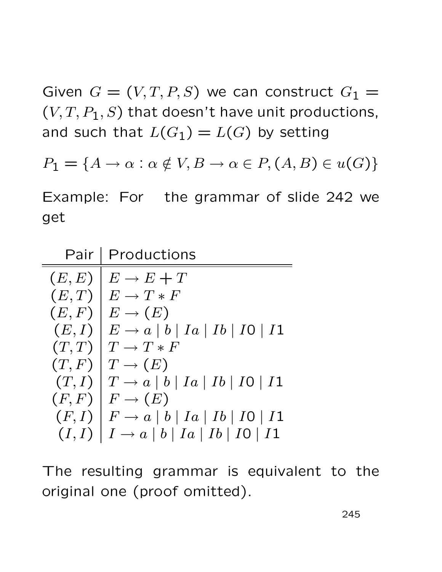Given  $G = (V, T, P, S)$  we can construct  $G_1 =$  $(V, T, P_1, S)$  that doesn't have unit productions, and such that  $L(G_1) = L(G)$  by setting

 $P_1 = \{A \rightarrow \alpha : \alpha \notin V, B \rightarrow \alpha \in P, (A, B) \in u(G)\}\$ 

Example: For the grammar of slide 242 we get

| Pair   | Productions                                              |
|--------|----------------------------------------------------------|
| (E, E) | $E \rightarrow E + T$                                    |
| (E,T)  | $E \to T * F$                                            |
| (E, F) | $E \rightarrow (E)$                                      |
| (E, I) | $E \rightarrow a \mid b \mid Ia \mid Ib \mid IO \mid I1$ |
| (T,T)  | $T \to T*F$                                              |
| (T, F) | $T \to (E)$                                              |
| (T, I) | $T \rightarrow a \mid b \mid Ia \mid Ib \mid I0 \mid I1$ |
| (F, F) | $F \to (E)$                                              |
| (F, I) | $F \rightarrow a \mid b \mid Ia \mid Ib \mid IO \mid I1$ |
| (I, I) | $I \rightarrow a \mid b \mid Ia \mid Ib \mid IO \mid I1$ |

The resulting grammar is equivalent to the original one (proof omitted).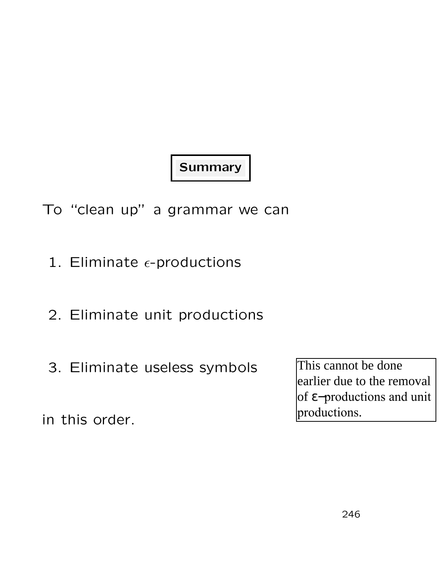# **Summary**

- To "clean up" a grammar we can
	- 1. Eliminate  $\epsilon$ -productions
	- 2. Eliminate unit productions
	- 3. Eliminate useless symbols

This cannot be done<br>earlier due to the rem<br>of  $\varepsilon$ -productions and<br>productions.<br>246 earlier due to the removal of ε−productions and unit productions.

in this order.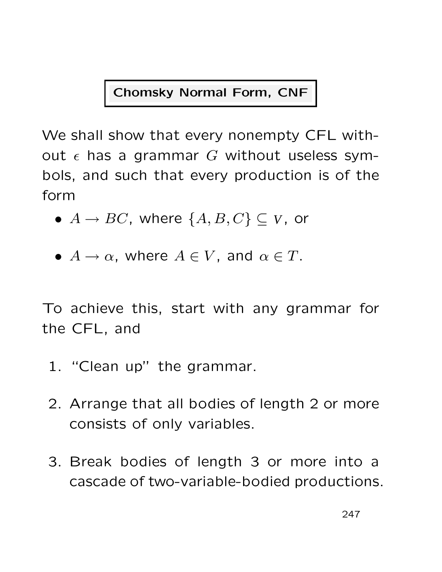## Chomsky Normal Form, CNF

We shall show that every nonempty CFL without  $\epsilon$  has a grammar G without useless symbols, and such that every production is of the form

- $A \rightarrow BC$ , where  $\{A, B, C\} \subseteq V$ , or
- $A \to \alpha$ , where  $A \in V$ , and  $\alpha \in T$ .

To achieve this, start with any grammar for the CFL, and

- 1. "Clean up" the grammar.
- 2. Arrange that all bodies of length 2 or more consists of only variables.
- 3. Break bodies of length 3 or more into a cascade of two-variable-bodied productions.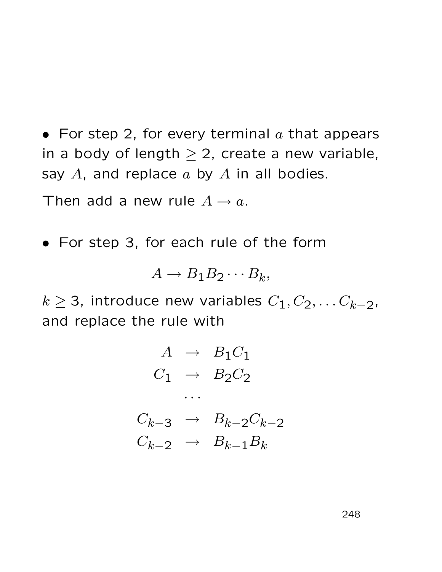• For step 2, for every terminal  $a$  that appears in a body of length  $\geq 2$ , create a new variable, say  $A$ , and replace  $a$  by  $A$  in all bodies.

Then add a new rule  $A \rightarrow a$ .

• For step 3, for each rule of the form

$$
A \to B_1 B_2 \cdots B_k,
$$

 $k \geq 3$ , introduce new variables  $C_1, C_2, \ldots C_{k-2}$ , and replace the rule with

$$
A \rightarrow B_1C_1
$$
  
\n
$$
C_1 \rightarrow B_2C_2
$$
  
\n...  
\n
$$
C_{k-3} \rightarrow B_{k-2}C_{k-2}
$$
  
\n
$$
C_{k-2} \rightarrow B_{k-1}B_k
$$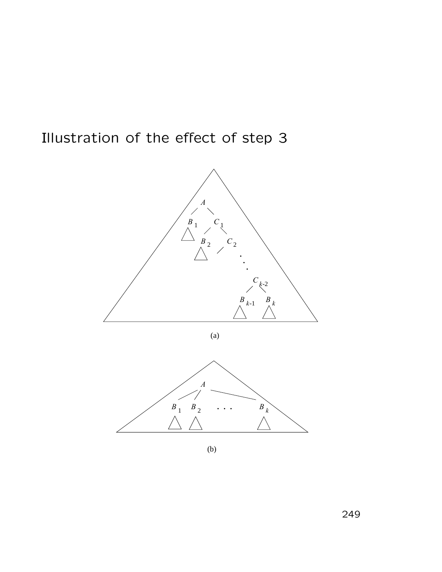Illustration of the effect of step 3



(a)



(b)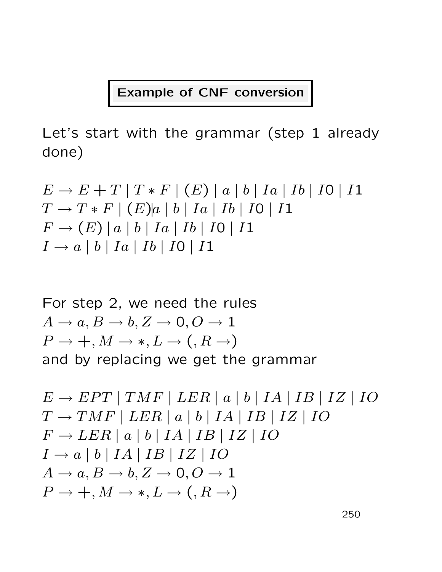### Example of CNF conversion

Let's start with the grammar (step 1 already done)

$$
E \to E + T | T * F | (E) | a | b | Ia | Ib | I0 | I1
$$
  
\n
$$
T \to T * F | (E) | a | b | Ia | Ib | I0 | I1
$$
  
\n
$$
F \to (E) | a | b | Ia | Ib | I0 | I1
$$
  
\n
$$
I \to a | b | Ia | Ib | I0 | I1
$$

For step 2, we need the rules  
\n
$$
A \rightarrow a, B \rightarrow b, Z \rightarrow 0, O \rightarrow 1
$$
  
\n $P \rightarrow +, M \rightarrow *, L \rightarrow (, R \rightarrow)$   
\nand by replacing we get the grammar

$$
E \rightarrow EPT | TMF | LER | a | b | IA | IB | IZ | IO
$$
  
\n
$$
T \rightarrow TMF | LER | a | b | IA | IB | IZ | IO
$$
  
\n
$$
F \rightarrow LER | a | b | IA | IB | IZ | IO
$$
  
\n
$$
I \rightarrow a | b | IA | IB | IZ | IO
$$
  
\n
$$
A \rightarrow a, B \rightarrow b, Z \rightarrow 0, O \rightarrow 1
$$
  
\n
$$
P \rightarrow +, M \rightarrow *, L \rightarrow (, R \rightarrow)
$$